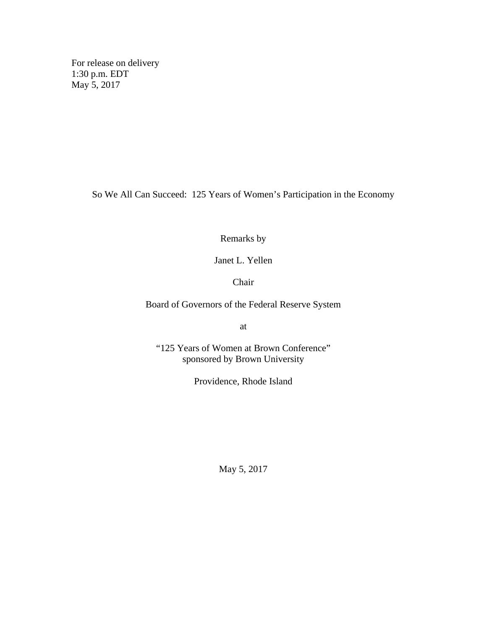For release on delivery 1:30 p.m. EDT May 5, 2017

So We All Can Succeed: 125 Years of Women's Participation in the Economy

Remarks by

Janet L. Yellen

Chair

Board of Governors of the Federal Reserve System

at

"125 Years of Women at Brown Conference" sponsored by Brown University

Providence, Rhode Island

May 5, 2017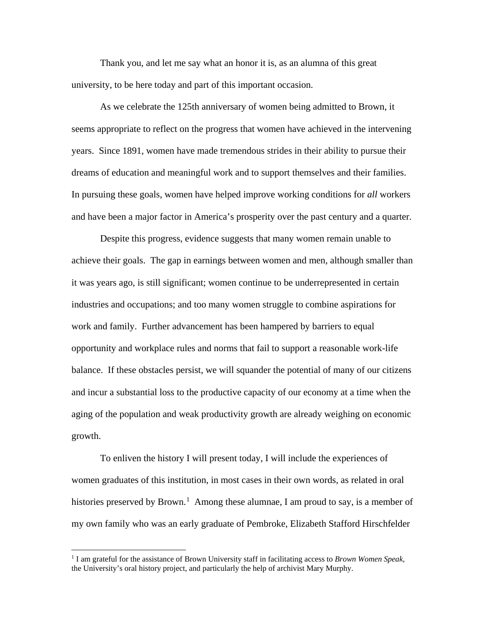Thank you, and let me say what an honor it is, as an alumna of this great university, to be here today and part of this important occasion.

As we celebrate the 125th anniversary of women being admitted to Brown, it seems appropriate to reflect on the progress that women have achieved in the intervening years. Since 1891, women have made tremendous strides in their ability to pursue their dreams of education and meaningful work and to support themselves and their families. In pursuing these goals, women have helped improve working conditions for *all* workers and have been a major factor in America's prosperity over the past century and a quarter.

Despite this progress, evidence suggests that many women remain unable to achieve their goals. The gap in earnings between women and men, although smaller than it was years ago, is still significant; women continue to be underrepresented in certain industries and occupations; and too many women struggle to combine aspirations for work and family. Further advancement has been hampered by barriers to equal opportunity and workplace rules and norms that fail to support a reasonable work-life balance. If these obstacles persist, we will squander the potential of many of our citizens and incur a substantial loss to the productive capacity of our economy at a time when the aging of the population and weak productivity growth are already weighing on economic growth.

To enliven the history I will present today, I will include the experiences of women graduates of this institution, in most cases in their own words, as related in oral histories preserved by Brown.<sup>[1](#page-1-0)</sup> Among these alumnae, I am proud to say, is a member of my own family who was an early graduate of Pembroke, Elizabeth Stafford Hirschfelder

<span id="page-1-0"></span> <sup>1</sup> I am grateful for the assistance of Brown University staff in facilitating access to *Brown Women Speak,*  the University's oral history project, and particularly the help of archivist Mary Murphy.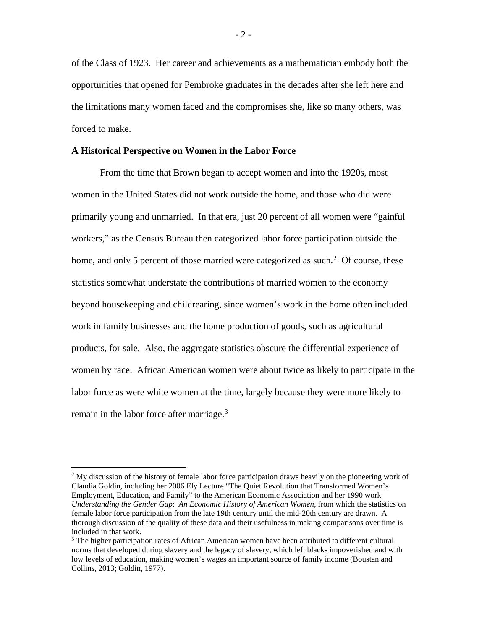of the Class of 1923. Her career and achievements as a mathematician embody both the opportunities that opened for Pembroke graduates in the decades after she left here and the limitations many women faced and the compromises she, like so many others, was forced to make.

# **A Historical Perspective on Women in the Labor Force**

From the time that Brown began to accept women and into the 1920s, most women in the United States did not work outside the home, and those who did were primarily young and unmarried. In that era, just 20 percent of all women were "gainful workers," as the Census Bureau then categorized labor force participation outside the home, and only 5 percent of those married were categorized as such.<sup>[2](#page-2-0)</sup> Of course, these statistics somewhat understate the contributions of married women to the economy beyond housekeeping and childrearing, since women's work in the home often included work in family businesses and the home production of goods, such as agricultural products, for sale. Also, the aggregate statistics obscure the differential experience of women by race. African American women were about twice as likely to participate in the labor force as were white women at the time, largely because they were more likely to remain in the labor force after marriage.<sup>[3](#page-2-1)</sup>

<span id="page-2-0"></span> $2$  My discussion of the history of female labor force participation draws heavily on the pioneering work of Claudia Goldin, including her 2006 Ely Lecture "The Quiet Revolution that Transformed Women's Employment, Education, and Family" to the American Economic Association and her 1990 work *Understanding the Gender Gap*: *An Economic History of American Women,* from which the statistics on female labor force participation from the late 19th century until the mid-20th century are drawn. A thorough discussion of the quality of these data and their usefulness in making comparisons over time is included in that work.

<span id="page-2-1"></span><sup>&</sup>lt;sup>3</sup> The higher participation rates of African American women have been attributed to different cultural norms that developed during slavery and the legacy of slavery, which left blacks impoverished and with low levels of education, making women's wages an important source of family income (Boustan and Collins, 2013; Goldin, 1977).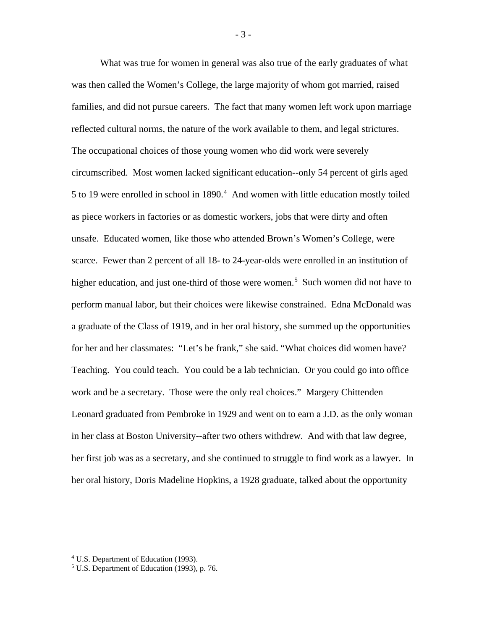What was true for women in general was also true of the early graduates of what was then called the Women's College, the large majority of whom got married, raised families, and did not pursue careers. The fact that many women left work upon marriage reflected cultural norms, the nature of the work available to them, and legal strictures. The occupational choices of those young women who did work were severely circumscribed. Most women lacked significant education--only 54 percent of girls aged 5 to 19 were enrolled in school in 1890.<sup>[4](#page-3-0)</sup> And women with little education mostly toiled as piece workers in factories or as domestic workers, jobs that were dirty and often unsafe. Educated women, like those who attended Brown's Women's College, were scarce. Fewer than 2 percent of all 18- to 24-year-olds were enrolled in an institution of higher education, and just one-third of those were women.<sup>[5](#page-3-1)</sup> Such women did not have to perform manual labor, but their choices were likewise constrained. Edna McDonald was a graduate of the Class of 1919, and in her oral history, she summed up the opportunities for her and her classmates: "Let's be frank," she said. "What choices did women have? Teaching. You could teach. You could be a lab technician. Or you could go into office work and be a secretary. Those were the only real choices." Margery Chittenden Leonard graduated from Pembroke in 1929 and went on to earn a J.D. as the only woman in her class at Boston University--after two others withdrew. And with that law degree, her first job was as a secretary, and she continued to struggle to find work as a lawyer. In her oral history, Doris Madeline Hopkins, a 1928 graduate, talked about the opportunity

- 3 -

<span id="page-3-0"></span> <sup>4</sup> U.S. Department of Education (1993).

<span id="page-3-1"></span><sup>5</sup> U.S. Department of Education (1993), p. 76.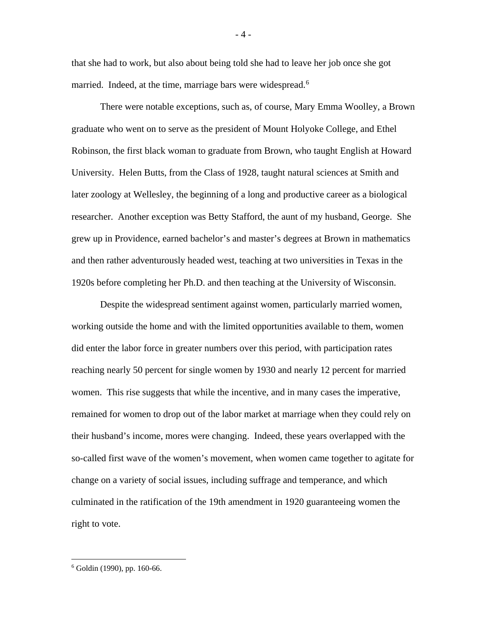that she had to work, but also about being told she had to leave her job once she got married. Indeed, at the time, marriage bars were widespread.<sup>[6](#page-4-0)</sup>

There were notable exceptions, such as, of course, Mary Emma Woolley, a Brown graduate who went on to serve as the president of Mount Holyoke College, and Ethel Robinson, the first black woman to graduate from Brown, who taught English at Howard University. Helen Butts, from the Class of 1928, taught natural sciences at Smith and later zoology at Wellesley, the beginning of a long and productive career as a biological researcher. Another exception was Betty Stafford, the aunt of my husband, George. She grew up in Providence, earned bachelor's and master's degrees at Brown in mathematics and then rather adventurously headed west, teaching at two universities in Texas in the 1920s before completing her Ph.D. and then teaching at the University of Wisconsin.

Despite the widespread sentiment against women, particularly married women, working outside the home and with the limited opportunities available to them, women did enter the labor force in greater numbers over this period, with participation rates reaching nearly 50 percent for single women by 1930 and nearly 12 percent for married women. This rise suggests that while the incentive, and in many cases the imperative, remained for women to drop out of the labor market at marriage when they could rely on their husband's income, mores were changing. Indeed, these years overlapped with the so-called first wave of the women's movement, when women came together to agitate for change on a variety of social issues, including suffrage and temperance, and which culminated in the ratification of the 19th amendment in 1920 guaranteeing women the right to vote.

<span id="page-4-0"></span> $6$  Goldin (1990), pp. 160-66.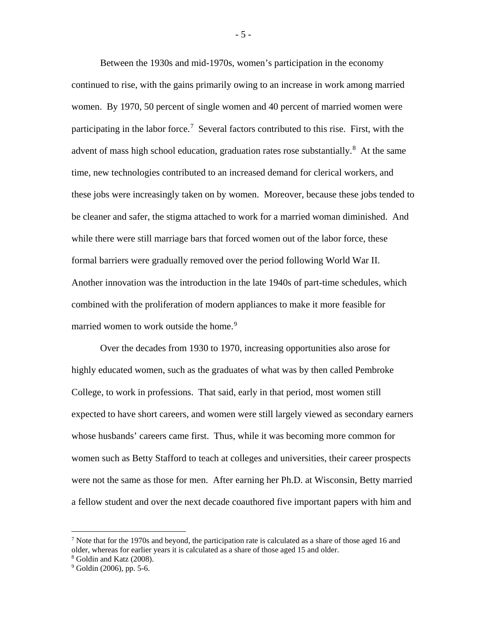Between the 1930s and mid-1970s, women's participation in the economy continued to rise, with the gains primarily owing to an increase in work among married women. By 1970, 50 percent of single women and 40 percent of married women were participating in the labor force.<sup>[7](#page-5-0)</sup> Several factors contributed to this rise. First, with the advent of mass high school education, graduation rates rose substantially.<sup>[8](#page-5-1)</sup> At the same time, new technologies contributed to an increased demand for clerical workers, and these jobs were increasingly taken on by women. Moreover, because these jobs tended to be cleaner and safer, the stigma attached to work for a married woman diminished. And while there were still marriage bars that forced women out of the labor force, these formal barriers were gradually removed over the period following World War II. Another innovation was the introduction in the late 1940s of part-time schedules, which combined with the proliferation of modern appliances to make it more feasible for married women to work outside the home.<sup>[9](#page-5-2)</sup>

Over the decades from 1930 to 1970, increasing opportunities also arose for highly educated women, such as the graduates of what was by then called Pembroke College, to work in professions. That said, early in that period, most women still expected to have short careers, and women were still largely viewed as secondary earners whose husbands' careers came first. Thus, while it was becoming more common for women such as Betty Stafford to teach at colleges and universities, their career prospects were not the same as those for men. After earning her Ph.D. at Wisconsin, Betty married a fellow student and over the next decade coauthored five important papers with him and

- 5 -

<span id="page-5-0"></span><sup>&</sup>lt;sup>7</sup> Note that for the 1970s and beyond, the participation rate is calculated as a share of those aged 16 and older, whereas for earlier years it is calculated as a share of those aged 15 and older.

<span id="page-5-1"></span><sup>8</sup> Goldin and Katz (2008).

<span id="page-5-2"></span> $9^9$  Goldin (2006), pp. 5-6.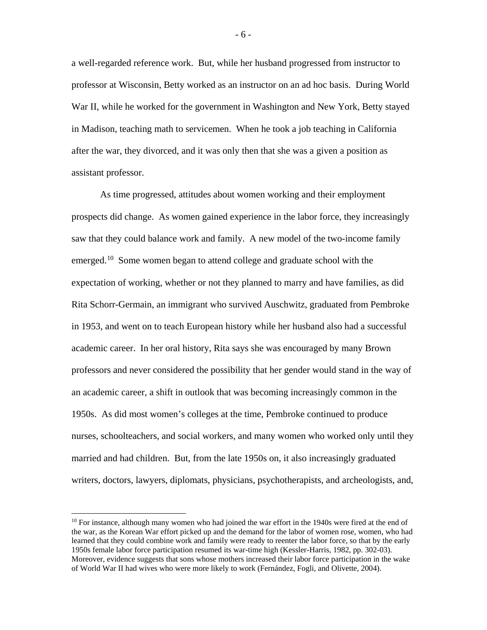a well-regarded reference work. But, while her husband progressed from instructor to professor at Wisconsin, Betty worked as an instructor on an ad hoc basis. During World War II, while he worked for the government in Washington and New York, Betty stayed in Madison, teaching math to servicemen. When he took a job teaching in California after the war, they divorced, and it was only then that she was a given a position as assistant professor.

As time progressed, attitudes about women working and their employment prospects did change. As women gained experience in the labor force, they increasingly saw that they could balance work and family. A new model of the two-income family emerged.<sup>10</sup> Some women began to attend college and graduate school with the expectation of working, whether or not they planned to marry and have families, as did Rita Schorr-Germain, an immigrant who survived Auschwitz, graduated from Pembroke in 1953, and went on to teach European history while her husband also had a successful academic career. In her oral history, Rita says she was encouraged by many Brown professors and never considered the possibility that her gender would stand in the way of an academic career, a shift in outlook that was becoming increasingly common in the 1950s. As did most women's colleges at the time, Pembroke continued to produce nurses, schoolteachers, and social workers, and many women who worked only until they married and had children. But, from the late 1950s on, it also increasingly graduated writers, doctors, lawyers, diplomats, physicians, psychotherapists, and archeologists, and,

- 6 -

<span id="page-6-0"></span><sup>&</sup>lt;sup>10</sup> For instance, although many women who had joined the war effort in the 1940s were fired at the end of the war, as the Korean War effort picked up and the demand for the labor of women rose, women, who had learned that they could combine work and family were ready to reenter the labor force, so that by the early 1950s female labor force participation resumed its war-time high (Kessler-Harris, 1982, pp. 302-03). Moreover, evidence suggests that sons whose mothers increased their labor force participation in the wake of World War II had wives who were more likely to work (Fernández, Fogli, and Olivette, 2004).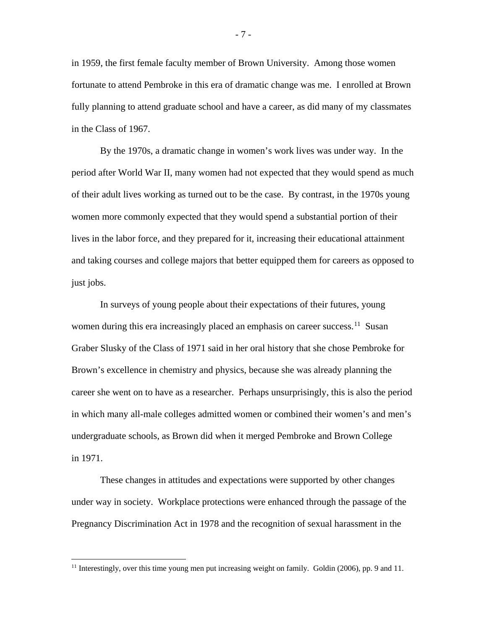in 1959, the first female faculty member of Brown University. Among those women fortunate to attend Pembroke in this era of dramatic change was me. I enrolled at Brown fully planning to attend graduate school and have a career, as did many of my classmates in the Class of 1967.

By the 1970s, a dramatic change in women's work lives was under way. In the period after World War II, many women had not expected that they would spend as much of their adult lives working as turned out to be the case. By contrast, in the 1970s young women more commonly expected that they would spend a substantial portion of their lives in the labor force, and they prepared for it, increasing their educational attainment and taking courses and college majors that better equipped them for careers as opposed to just jobs.

In surveys of young people about their expectations of their futures, young women during this era increasingly placed an emphasis on career success.<sup>[11](#page-7-0)</sup> Susan Graber Slusky of the Class of 1971 said in her oral history that she chose Pembroke for Brown's excellence in chemistry and physics, because she was already planning the career she went on to have as a researcher. Perhaps unsurprisingly, this is also the period in which many all-male colleges admitted women or combined their women's and men's undergraduate schools, as Brown did when it merged Pembroke and Brown College in 1971.

These changes in attitudes and expectations were supported by other changes under way in society. Workplace protections were enhanced through the passage of the Pregnancy Discrimination Act in 1978 and the recognition of sexual harassment in the

- 7 -

<span id="page-7-0"></span><sup>&</sup>lt;sup>11</sup> Interestingly, over this time young men put increasing weight on family. Goldin (2006), pp. 9 and 11.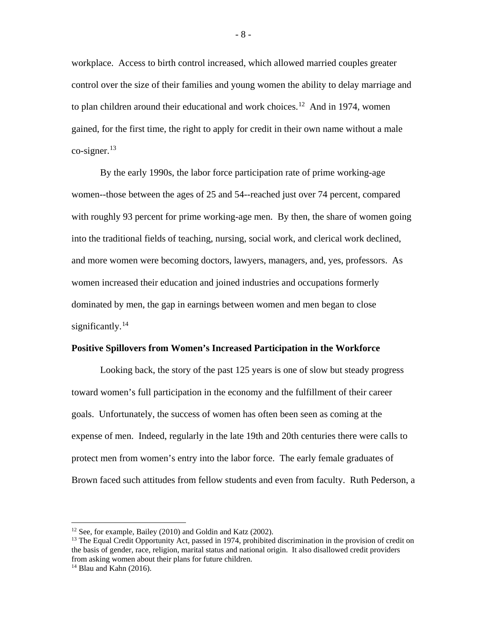workplace. Access to birth control increased, which allowed married couples greater control over the size of their families and young women the ability to delay marriage and to plan children around their educational and work choices.<sup>[12](#page-8-0)</sup> And in 1974, women gained, for the first time, the right to apply for credit in their own name without a male co-signer.<sup>[13](#page-8-1)</sup>

By the early 1990s, the labor force participation rate of prime working-age women--those between the ages of 25 and 54--reached just over 74 percent, compared with roughly 93 percent for prime working-age men. By then, the share of women going into the traditional fields of teaching, nursing, social work, and clerical work declined, and more women were becoming doctors, lawyers, managers, and, yes, professors. As women increased their education and joined industries and occupations formerly dominated by men, the gap in earnings between women and men began to close significantly. $^{14}$  $^{14}$  $^{14}$ 

### **Positive Spillovers from Women's Increased Participation in the Workforce**

Looking back, the story of the past 125 years is one of slow but steady progress toward women's full participation in the economy and the fulfillment of their career goals. Unfortunately, the success of women has often been seen as coming at the expense of men. Indeed, regularly in the late 19th and 20th centuries there were calls to protect men from women's entry into the labor force. The early female graduates of Brown faced such attitudes from fellow students and even from faculty. Ruth Pederson, a

<sup>&</sup>lt;sup>12</sup> See, for example, Bailey (2010) and Goldin and Katz (2002).

<span id="page-8-1"></span><span id="page-8-0"></span><sup>&</sup>lt;sup>13</sup> The Equal Credit Opportunity Act, passed in 1974, prohibited discrimination in the provision of credit on the basis of gender, race, religion, marital status and national origin. It also disallowed credit providers from asking women about their plans for future children.

<span id="page-8-2"></span> $14$  Blau and Kahn (2016).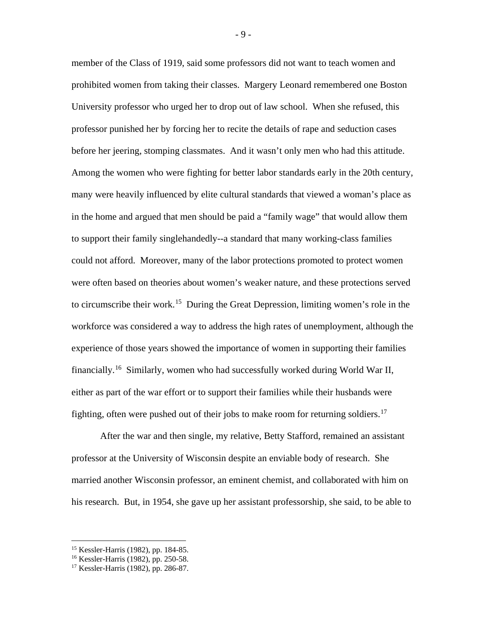member of the Class of 1919, said some professors did not want to teach women and prohibited women from taking their classes. Margery Leonard remembered one Boston University professor who urged her to drop out of law school. When she refused, this professor punished her by forcing her to recite the details of rape and seduction cases before her jeering, stomping classmates. And it wasn't only men who had this attitude. Among the women who were fighting for better labor standards early in the 20th century, many were heavily influenced by elite cultural standards that viewed a woman's place as in the home and argued that men should be paid a "family wage" that would allow them to support their family singlehandedly--a standard that many working-class families could not afford. Moreover, many of the labor protections promoted to protect women were often based on theories about women's weaker nature, and these protections served to circumscribe their work.<sup>15</sup> During the Great Depression, limiting women's role in the workforce was considered a way to address the high rates of unemployment, although the experience of those years showed the importance of women in supporting their families financially.<sup>16</sup> Similarly, women who had successfully worked during World War II, either as part of the war effort or to support their families while their husbands were fighting, often were pushed out of their jobs to make room for returning soldiers.<sup>[17](#page-9-2)</sup>

After the war and then single, my relative, Betty Stafford, remained an assistant professor at the University of Wisconsin despite an enviable body of research. She married another Wisconsin professor, an eminent chemist, and collaborated with him on his research. But, in 1954, she gave up her assistant professorship, she said, to be able to

- 9 -

<span id="page-9-0"></span> <sup>15</sup> Kessler-Harris (1982), pp. 184-85.

<span id="page-9-1"></span><sup>16</sup> Kessler-Harris (1982), pp. 250-58.

<span id="page-9-2"></span><sup>17</sup> Kessler-Harris (1982), pp. 286-87.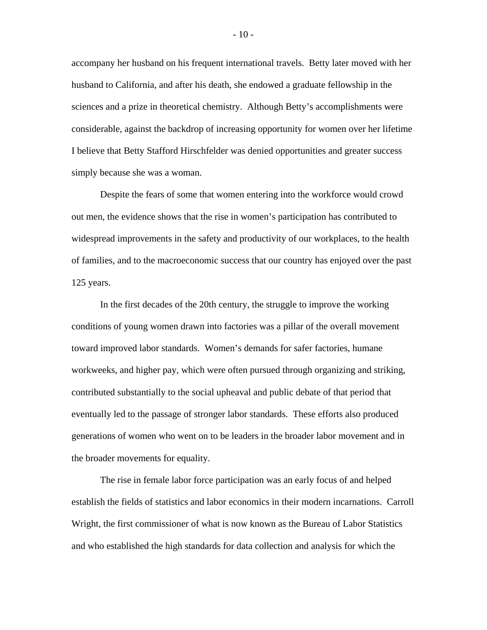accompany her husband on his frequent international travels. Betty later moved with her husband to California, and after his death, she endowed a graduate fellowship in the sciences and a prize in theoretical chemistry. Although Betty's accomplishments were considerable, against the backdrop of increasing opportunity for women over her lifetime I believe that Betty Stafford Hirschfelder was denied opportunities and greater success simply because she was a woman.

Despite the fears of some that women entering into the workforce would crowd out men, the evidence shows that the rise in women's participation has contributed to widespread improvements in the safety and productivity of our workplaces, to the health of families, and to the macroeconomic success that our country has enjoyed over the past 125 years.

In the first decades of the 20th century, the struggle to improve the working conditions of young women drawn into factories was a pillar of the overall movement toward improved labor standards. Women's demands for safer factories, humane workweeks, and higher pay, which were often pursued through organizing and striking, contributed substantially to the social upheaval and public debate of that period that eventually led to the passage of stronger labor standards. These efforts also produced generations of women who went on to be leaders in the broader labor movement and in the broader movements for equality.

The rise in female labor force participation was an early focus of and helped establish the fields of statistics and labor economics in their modern incarnations. Carroll Wright, the first commissioner of what is now known as the Bureau of Labor Statistics and who established the high standards for data collection and analysis for which the

- 10 -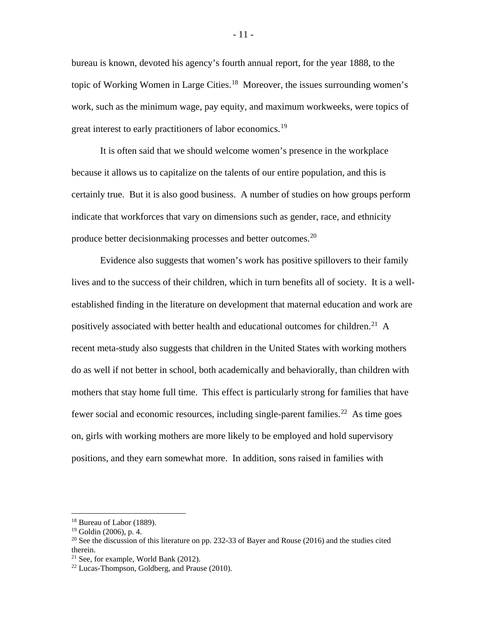bureau is known, devoted his agency's fourth annual report, for the year 1888, to the topic of Working Women in Large Cities.<sup>18</sup> Moreover, the issues surrounding women's work, such as the minimum wage, pay equity, and maximum workweeks, were topics of great interest to early practitioners of labor economics.<sup>[19](#page-11-1)</sup>

It is often said that we should welcome women's presence in the workplace because it allows us to capitalize on the talents of our entire population, and this is certainly true. But it is also good business. A number of studies on how groups perform indicate that workforces that vary on dimensions such as gender, race, and ethnicity produce better decisionmaking processes and better outcomes.<sup>[20](#page-11-2)</sup>

Evidence also suggests that women's work has positive spillovers to their family lives and to the success of their children, which in turn benefits all of society. It is a wellestablished finding in the literature on development that maternal education and work are positively associated with better health and educational outcomes for children.<sup>[21](#page-11-3)</sup> A recent meta-study also suggests that children in the United States with working mothers do as well if not better in school, both academically and behaviorally, than children with mothers that stay home full time. This effect is particularly strong for families that have fewer social and economic resources, including single-parent families.<sup>22</sup> As time goes on, girls with working mothers are more likely to be employed and hold supervisory positions, and they earn somewhat more. In addition, sons raised in families with

<span id="page-11-0"></span><sup>&</sup>lt;sup>18</sup> Bureau of Labor (1889).

<span id="page-11-1"></span><sup>19</sup> Goldin (2006), p. 4.

<span id="page-11-2"></span><sup>&</sup>lt;sup>20</sup> See the discussion of this literature on pp. 232-33 of Bayer and Rouse (2016) and the studies cited therein.

<span id="page-11-3"></span><sup>21</sup> See, for example, World Bank (2012).

<span id="page-11-4"></span> $22$  Lucas-Thompson, Goldberg, and Prause (2010).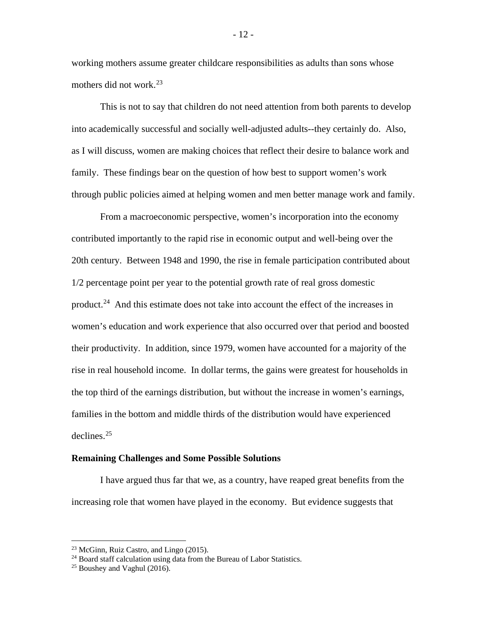working mothers assume greater childcare responsibilities as adults than sons whose mothers did not work. $^{23}$  $^{23}$  $^{23}$ 

This is not to say that children do not need attention from both parents to develop into academically successful and socially well-adjusted adults--they certainly do. Also, as I will discuss, women are making choices that reflect their desire to balance work and family. These findings bear on the question of how best to support women's work through public policies aimed at helping women and men better manage work and family.

From a macroeconomic perspective, women's incorporation into the economy contributed importantly to the rapid rise in economic output and well-being over the 20th century. Between 1948 and 1990, the rise in female participation contributed about 1/2 percentage point per year to the potential growth rate of real gross domestic product.[24](#page-12-1) And this estimate does not take into account the effect of the increases in women's education and work experience that also occurred over that period and boosted their productivity. In addition, since 1979, women have accounted for a majority of the rise in real household income. In dollar terms, the gains were greatest for households in the top third of the earnings distribution, but without the increase in women's earnings, families in the bottom and middle thirds of the distribution would have experienced declines. $25$ 

#### **Remaining Challenges and Some Possible Solutions**

I have argued thus far that we, as a country, have reaped great benefits from the increasing role that women have played in the economy. But evidence suggests that

- 12 -

<span id="page-12-1"></span><span id="page-12-0"></span><sup>&</sup>lt;sup>23</sup> McGinn, Ruiz Castro, and Lingo (2015).<br><sup>24</sup> Board staff calculation using data from the Bureau of Labor Statistics.

<span id="page-12-2"></span> $25$  Boushey and Vaghul (2016).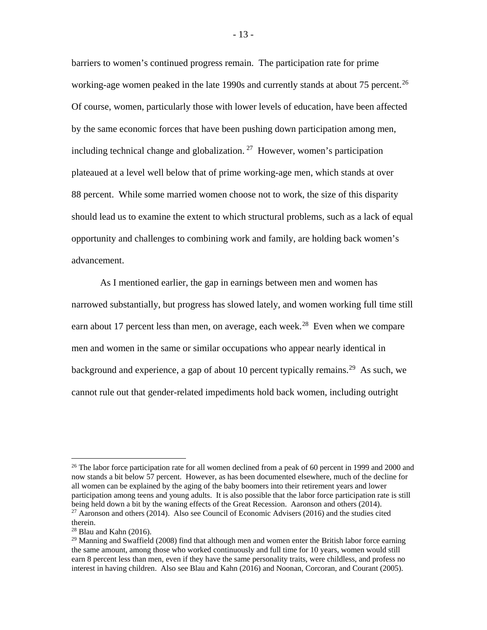barriers to women's continued progress remain. The participation rate for prime working-age women peaked in the late 1990s and currently stands at about 75 percent.<sup>26</sup> Of course, women, particularly those with lower levels of education, have been affected by the same economic forces that have been pushing down participation among men, including technical change and globalization. <sup>[27](#page-13-1)</sup> However, women's participation plateaued at a level well below that of prime working-age men, which stands at over 88 percent. While some married women choose not to work, the size of this disparity should lead us to examine the extent to which structural problems, such as a lack of equal opportunity and challenges to combining work and family, are holding back women's advancement.

As I mentioned earlier, the gap in earnings between men and women has narrowed substantially, but progress has slowed lately, and women working full time still earn about 17 percent less than men, on average, each week.<sup>[28](#page-13-2)</sup> Even when we compare men and women in the same or similar occupations who appear nearly identical in background and experience, a gap of about 10 percent typically remains.<sup>[29](#page-13-3)</sup> As such, we cannot rule out that gender-related impediments hold back women, including outright

<span id="page-13-0"></span><sup>&</sup>lt;sup>26</sup> The labor force participation rate for all women declined from a peak of 60 percent in 1999 and 2000 and now stands a bit below 57 percent. However, as has been documented elsewhere, much of the decline for all women can be explained by the aging of the baby boomers into their retirement years and lower participation among teens and young adults. It is also possible that the labor force participation rate is still being held down a bit by the waning effects of the Great Recession. Aaronson and others (2014). <sup>27</sup> Aaronson and others (2014). Also see Council of Economic Advisers (2016) and the studies cited

<span id="page-13-1"></span>therein.

<span id="page-13-3"></span><span id="page-13-2"></span> $28$  Blau and Kahn (2016).

<sup>&</sup>lt;sup>29</sup> Manning and Swaffield (2008) find that although men and women enter the British labor force earning the same amount, among those who worked continuously and full time for 10 years, women would still earn 8 percent less than men, even if they have the same personality traits, were childless, and profess no interest in having children. Also see Blau and Kahn (2016) and Noonan, Corcoran, and Courant (2005).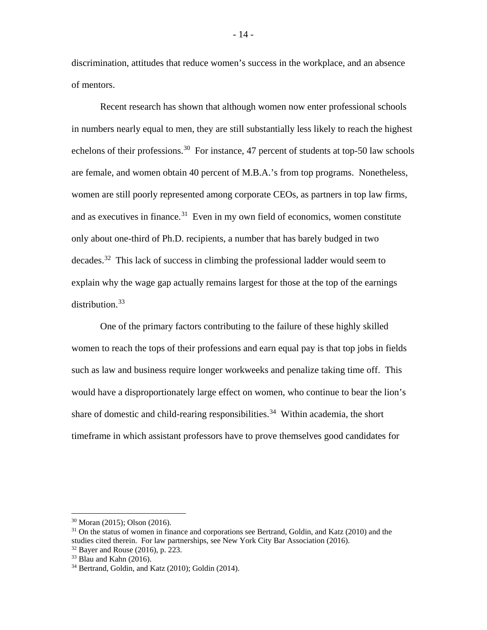discrimination, attitudes that reduce women's success in the workplace, and an absence of mentors.

Recent research has shown that although women now enter professional schools in numbers nearly equal to men, they are still substantially less likely to reach the highest echelons of their professions.<sup>[30](#page-14-0)</sup> For instance, 47 percent of students at top-50 law schools are female, and women obtain 40 percent of M.B.A.'s from top programs. Nonetheless, women are still poorly represented among corporate CEOs, as partners in top law firms, and as executives in finance.<sup>[31](#page-14-1)</sup> Even in my own field of economics, women constitute only about one-third of Ph.D. recipients, a number that has barely budged in two decades.<sup>32</sup> This lack of success in climbing the professional ladder would seem to explain why the wage gap actually remains largest for those at the top of the earnings distribution.<sup>33</sup>

One of the primary factors contributing to the failure of these highly skilled women to reach the tops of their professions and earn equal pay is that top jobs in fields such as law and business require longer workweeks and penalize taking time off. This would have a disproportionately large effect on women, who continue to bear the lion's share of domestic and child-rearing responsibilities.<sup>[34](#page-14-4)</sup> Within academia, the short timeframe in which assistant professors have to prove themselves good candidates for

<span id="page-14-0"></span> <sup>30</sup> Moran (2015); Olson (2016).

<span id="page-14-1"></span><sup>&</sup>lt;sup>31</sup> On the status of women in finance and corporations see Bertrand, Goldin, and Katz (2010) and the studies cited therein. For law partnerships, see New York City Bar Association (2016).

<sup>32</sup> Bayer and Rouse (2016), p. 223.

<span id="page-14-3"></span><span id="page-14-2"></span> $33$  Blau and Kahn (2016).

<span id="page-14-4"></span><sup>34</sup> Bertrand, Goldin, and Katz (2010); Goldin (2014).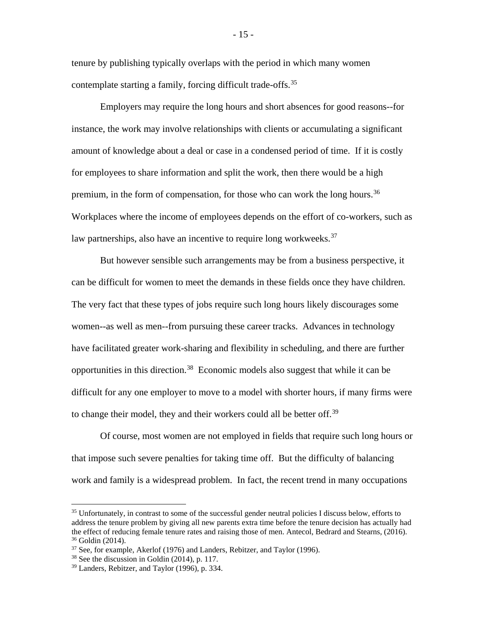tenure by publishing typically overlaps with the period in which many women contemplate starting a family, forcing difficult trade-offs.<sup>[35](#page-15-0)</sup>

Employers may require the long hours and short absences for good reasons--for instance, the work may involve relationships with clients or accumulating a significant amount of knowledge about a deal or case in a condensed period of time. If it is costly for employees to share information and split the work, then there would be a high premium, in the form of compensation, for those who can work the long hours.<sup>36</sup> Workplaces where the income of employees depends on the effort of co-workers, such as law partnerships, also have an incentive to require long workweeks.<sup>[37](#page-15-2)</sup>

But however sensible such arrangements may be from a business perspective, it can be difficult for women to meet the demands in these fields once they have children. The very fact that these types of jobs require such long hours likely discourages some women--as well as men--from pursuing these career tracks. Advances in technology have facilitated greater work-sharing and flexibility in scheduling, and there are further opportunities in this direction.<sup>[38](#page-15-3)</sup> Economic models also suggest that while it can be difficult for any one employer to move to a model with shorter hours, if many firms were to change their model, they and their workers could all be better off.<sup>[39](#page-15-4)</sup>

Of course, most women are not employed in fields that require such long hours or that impose such severe penalties for taking time off. But the difficulty of balancing work and family is a widespread problem. In fact, the recent trend in many occupations

<span id="page-15-0"></span><sup>&</sup>lt;sup>35</sup> Unfortunately, in contrast to some of the successful gender neutral policies I discuss below, efforts to address the tenure problem by giving all new parents extra time before the tenure decision has actually had the effect of reducing female tenure rates and raising those of men. Antecol, Bedrard and Stearns, (2016). <sup>36</sup> Goldin (2014).

<span id="page-15-1"></span><sup>37</sup> See, for example, Akerlof (1976) and Landers, Rebitzer, and Taylor (1996).

<span id="page-15-3"></span><span id="page-15-2"></span><sup>38</sup> See the discussion in Goldin (2014), p. 117.

<span id="page-15-4"></span><sup>39</sup> Landers, Rebitzer, and Taylor (1996), p. 334.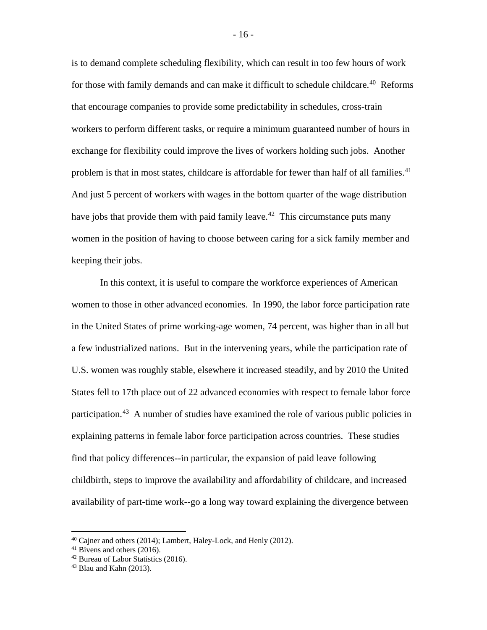is to demand complete scheduling flexibility, which can result in too few hours of work for those with family demands and can make it difficult to schedule childcare.<sup>40</sup> Reforms that encourage companies to provide some predictability in schedules, cross-train workers to perform different tasks, or require a minimum guaranteed number of hours in exchange for flexibility could improve the lives of workers holding such jobs. Another problem is that in most states, childcare is affordable for fewer than half of all families.<sup>[41](#page-16-1)</sup> And just 5 percent of workers with wages in the bottom quarter of the wage distribution have jobs that provide them with paid family leave.<sup> $42$ </sup> This circumstance puts many women in the position of having to choose between caring for a sick family member and keeping their jobs.

In this context, it is useful to compare the workforce experiences of American women to those in other advanced economies. In 1990, the labor force participation rate in the United States of prime working-age women, 74 percent, was higher than in all but a few industrialized nations. But in the intervening years, while the participation rate of U.S. women was roughly stable, elsewhere it increased steadily, and by 2010 the United States fell to 17th place out of 22 advanced economies with respect to female labor force participation.<sup>[43](#page-16-3)</sup> A number of studies have examined the role of various public policies in explaining patterns in female labor force participation across countries. These studies find that policy differences--in particular, the expansion of paid leave following childbirth, steps to improve the availability and affordability of childcare, and increased availability of part-time work--go a long way toward explaining the divergence between

<span id="page-16-0"></span> $40$  Cajner and others (2014); Lambert, Haley-Lock, and Henly (2012).

<span id="page-16-1"></span><sup>41</sup> Bivens and others (2016).

<span id="page-16-2"></span><sup>42</sup> Bureau of Labor Statistics (2016).

<span id="page-16-3"></span><sup>43</sup> Blau and Kahn (2013).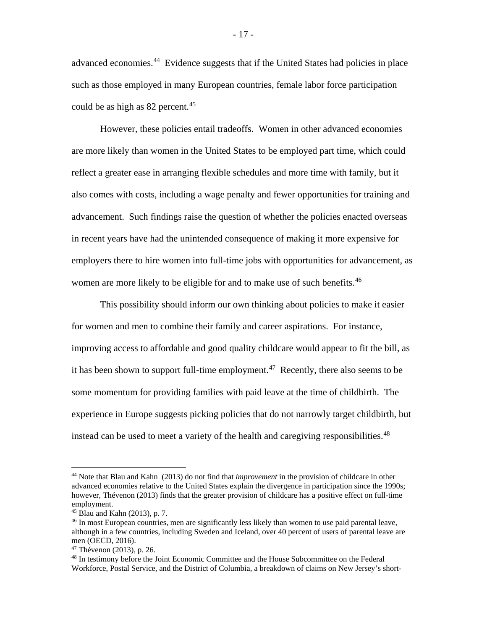advanced economies.<sup>[44](#page-17-0)</sup> Evidence suggests that if the United States had policies in place such as those employed in many European countries, female labor force participation could be as high as 82 percent.<sup>[45](#page-17-1)</sup>

However, these policies entail tradeoffs. Women in other advanced economies are more likely than women in the United States to be employed part time, which could reflect a greater ease in arranging flexible schedules and more time with family, but it also comes with costs, including a wage penalty and fewer opportunities for training and advancement. Such findings raise the question of whether the policies enacted overseas in recent years have had the unintended consequence of making it more expensive for employers there to hire women into full-time jobs with opportunities for advancement, as women are more likely to be eligible for and to make use of such benefits.<sup>[46](#page-17-2)</sup>

This possibility should inform our own thinking about policies to make it easier for women and men to combine their family and career aspirations. For instance, improving access to affordable and good quality childcare would appear to fit the bill, as it has been shown to support full-time employment.<sup>47</sup> Recently, there also seems to be some momentum for providing families with paid leave at the time of childbirth. The experience in Europe suggests picking policies that do not narrowly target childbirth, but instead can be used to meet a variety of the health and caregiving responsibilities.<sup>[48](#page-17-4)</sup>

<span id="page-17-0"></span> <sup>44</sup> Note that Blau and Kahn (2013) do not find that *improvement* in the provision of childcare in other advanced economies relative to the United States explain the divergence in participation since the 1990s; however, Thévenon (2013) finds that the greater provision of childcare has a positive effect on full-time employment.

<span id="page-17-1"></span> $45$  Blau and Kahn (2013), p. 7.

<span id="page-17-2"></span><sup>46</sup> In most European countries, men are significantly less likely than women to use paid parental leave, although in a few countries, including Sweden and Iceland, over 40 percent of users of parental leave are men (OECD, 2016).

<span id="page-17-3"></span><sup>47</sup> Thévenon (2013), p. 26.

<span id="page-17-4"></span><sup>48</sup> In testimony before the Joint Economic Committee and the House Subcommittee on the Federal Workforce, Postal Service, and the District of Columbia, a breakdown of claims on New Jersey's short-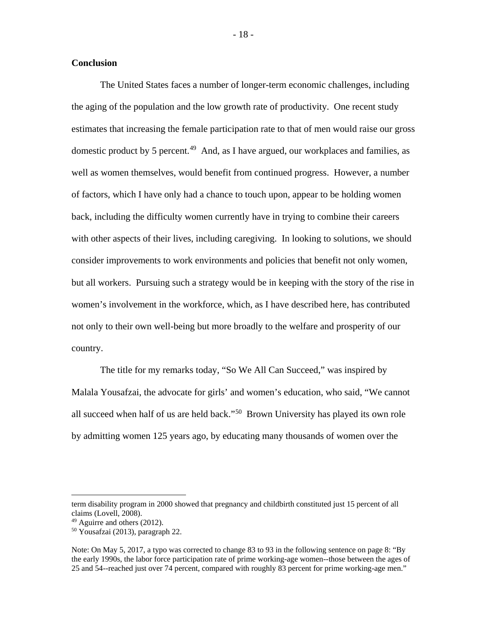# **Conclusion**

The United States faces a number of longer-term economic challenges, including the aging of the population and the low growth rate of productivity. One recent study estimates that increasing the female participation rate to that of men would raise our gross domestic product by 5 percent.<sup>[49](#page-18-0)</sup> And, as I have argued, our workplaces and families, as well as women themselves, would benefit from continued progress. However, a number of factors, which I have only had a chance to touch upon, appear to be holding women back, including the difficulty women currently have in trying to combine their careers with other aspects of their lives, including caregiving. In looking to solutions, we should consider improvements to work environments and policies that benefit not only women, but all workers. Pursuing such a strategy would be in keeping with the story of the rise in women's involvement in the workforce, which, as I have described here, has contributed not only to their own well-being but more broadly to the welfare and prosperity of our country.

The title for my remarks today, "So We All Can Succeed," was inspired by Malala Yousafzai, the advocate for girls' and women's education, who said, "We cannot all succeed when half of us are held back."[50](#page-18-1) Brown University has played its own role by admitting women 125 years ago, by educating many thousands of women over the

term disability program in 2000 showed that pregnancy and childbirth constituted just 15 percent of all claims (Lovell, 2008).

<span id="page-18-0"></span><sup>49</sup> Aguirre and others (2012).

<span id="page-18-1"></span><sup>50</sup> Yousafzai (2013), paragraph 22.

Note: On May 5, 2017, a typo was corrected to change 83 to 93 in the following sentence on page 8: "By the early 1990s, the labor force participation rate of prime working-age women--those between the ages of 25 and 54--reached just over 74 percent, compared with roughly 83 percent for prime working-age men."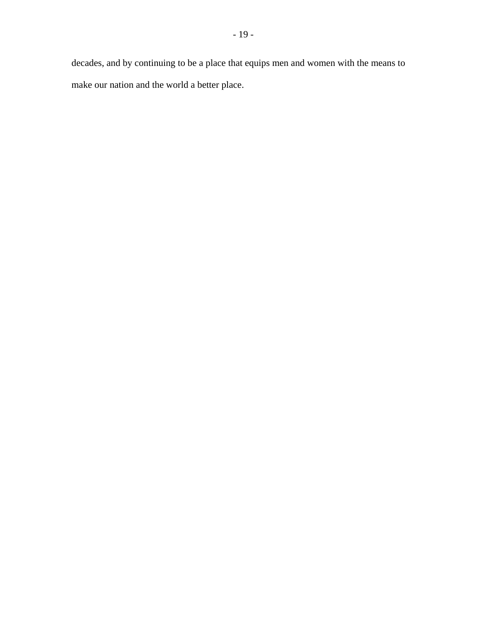decades, and by continuing to be a place that equips men and women with the means to make our nation and the world a better place.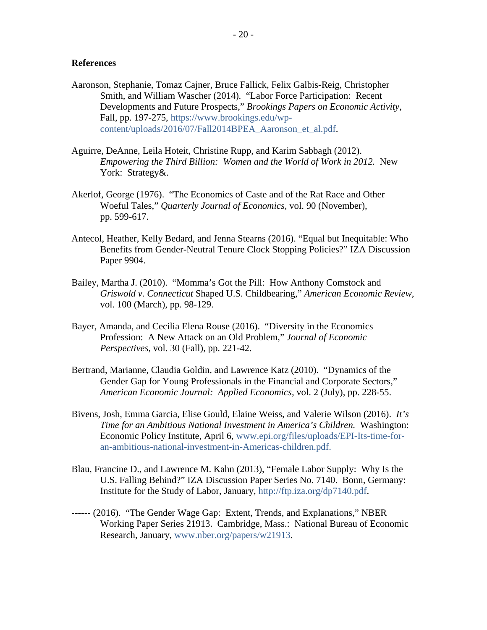# **References**

- Aaronson, Stephanie, Tomaz Cajner, Bruce Fallick, Felix Galbis-Reig, Christopher Smith, and William Wascher (2014). "Labor Force Participation: Recent Developments and Future Prospects," *Brookings Papers on Economic Activity,* Fall, pp. 197-275, [https://www.brookings.edu/wp](https://www.brookings.edu/wp-content/uploads/2016/07/Fall2014BPEA_Aaronson_et_al.pdf)[content/uploads/2016/07/Fall2014BPEA\\_Aaronson\\_et\\_al.pdf.](https://www.brookings.edu/wp-content/uploads/2016/07/Fall2014BPEA_Aaronson_et_al.pdf)
- Aguirre, DeAnne, Leila Hoteit, Christine Rupp, and Karim Sabbagh (2012). *Empowering the Third Billion: Women and the World of Work in 2012.* New York: Strategy&.
- Akerlof, George (1976). "The Economics of Caste and of the Rat Race and Other Woeful Tales," *Quarterly Journal of Economics,* vol. 90 (November), pp. 599-617.
- Antecol, Heather, Kelly Bedard, and Jenna Stearns (2016). "Equal but Inequitable: Who Benefits from Gender-Neutral Tenure Clock Stopping Policies?" IZA Discussion Paper 9904.
- Bailey, Martha J. (2010). "Momma's Got the Pill: How Anthony Comstock and *Griswold v. Connecticut* Shaped U.S. Childbearing," *American Economic Review,* vol. 100 (March), pp. 98-129.
- Bayer, Amanda, and Cecilia Elena Rouse (2016). "Diversity in the Economics Profession: A New Attack on an Old Problem," *Journal of Economic Perspectives,* vol. 30 (Fall), pp. 221-42.
- Bertrand, Marianne, Claudia Goldin, and Lawrence Katz (2010). "Dynamics of the Gender Gap for Young Professionals in the Financial and Corporate Sectors," *American Economic Journal: Applied Economics,* vol. 2 (July), pp. 228-55.
- Bivens, Josh, Emma Garcia, Elise Gould, Elaine Weiss, and Valerie Wilson (2016). *It's Time for an Ambitious National Investment in America's Children.* Washington: Economic Policy Institute, April 6, [www.epi.org/files/uploads/EPI-Its-time-for](http://www.epi.org/files/uploads/EPI-Its-time-for-an-ambitious-national-investment-in-Americas-children.pdf)[an-ambitious-national-investment-in-Americas-children.pdf.](http://www.epi.org/files/uploads/EPI-Its-time-for-an-ambitious-national-investment-in-Americas-children.pdf)
- Blau, Francine D., and Lawrence M. Kahn (2013), "Female Labor Supply: Why Is the U.S. Falling Behind?" IZA Discussion Paper Series No. 7140. Bonn, Germany: Institute for the Study of Labor, January, [http://ftp.iza.org/dp7140.pdf.](http://ftp.iza.org/dp7140.pdf)
- ------ (2016). "The Gender Wage Gap: Extent, Trends, and Explanations," NBER Working Paper Series 21913. Cambridge, Mass.: National Bureau of Economic Research, January, [www.nber.org/papers/w21913.](http://www.nber.org/papers/w21913)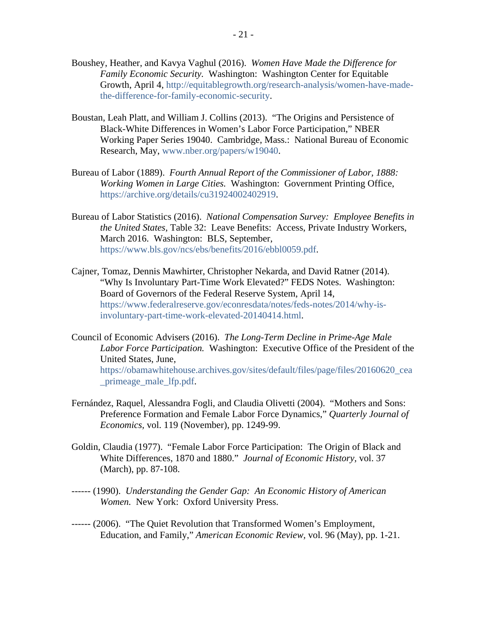- Boushey, Heather, and Kavya Vaghul (2016). *Women Have Made the Difference for Family Economic Security.* Washington: Washington Center for Equitable Growth, April 4, [http://equitablegrowth.org/research-analysis/women-have-made](http://equitablegrowth.org/research-analysis/women-have-made-the-difference-for-family-economic-security/)[the-difference-for-family-economic-security.](http://equitablegrowth.org/research-analysis/women-have-made-the-difference-for-family-economic-security/)
- Boustan, Leah Platt, and William J. Collins (2013). "The Origins and Persistence of Black-White Differences in Women's Labor Force Participation," NBER Working Paper Series 19040. Cambridge, Mass.: National Bureau of Economic Research, May, [www.nber.org/papers/w19040.](http://www.nber.org/papers/w19040)
- Bureau of Labor (1889). *Fourth Annual Report of the Commissioner of Labor, 1888: Working Women in Large Cities.* Washington: Government Printing Office, [https://archive.org/details/cu31924002402919.](https://archive.org/details/cu31924002402919)
- Bureau of Labor Statistics (2016). *National Compensation Survey: Employee Benefits in the United States,* Table 32: Leave Benefits: Access, Private Industry Workers, March 2016. Washington: BLS, September, [https://www.bls.gov/ncs/ebs/benefits/2016/ebbl0059.pdf.](https://www.bls.gov/ncs/ebs/benefits/2016/ebbl0059.pdf)
- Cajner, Tomaz, Dennis Mawhirter, Christopher Nekarda, and David Ratner (2014). "Why Is Involuntary Part-Time Work Elevated?" FEDS Notes. Washington: Board of Governors of the Federal Reserve System, April 14, [https://www.federalreserve.gov/econresdata/notes/feds-notes/2014/why-is](https://www.federalreserve.gov/econresdata/notes/feds-notes/2014/why-is-involuntary-part-time-work-elevated-20140414.html)[involuntary-part-time-work-elevated-20140414.html.](https://www.federalreserve.gov/econresdata/notes/feds-notes/2014/why-is-involuntary-part-time-work-elevated-20140414.html)
- Council of Economic Advisers (2016). *The Long-Term Decline in Prime-Age Male Labor Force Participation.* Washington: Executive Office of the President of the United States, June, [https://obamawhitehouse.archives.gov/sites/default/files/page/files/20160620\\_cea](https://obamawhitehouse.archives.gov/sites/default/files/page/files/20160620_cea_primeage_male_lfp.pdf) [\\_primeage\\_male\\_lfp.pdf.](https://obamawhitehouse.archives.gov/sites/default/files/page/files/20160620_cea_primeage_male_lfp.pdf)
- Fernández, Raquel, Alessandra Fogli, and Claudia Olivetti (2004). "Mothers and Sons: Preference Formation and Female Labor Force Dynamics," *Quarterly Journal of Economics,* vol. 119 (November), pp. 1249-99.
- Goldin, Claudia (1977). "Female Labor Force Participation: The Origin of Black and White Differences, 1870 and 1880." *Journal of Economic History,* vol. 37 (March), pp. 87-108.
- ------ (1990). *Understanding the Gender Gap: An Economic History of American Women.* New York: Oxford University Press.
- ------ (2006). "The Quiet Revolution that Transformed Women's Employment, Education, and Family," *American Economic Review,* vol. 96 (May), pp. 1-21.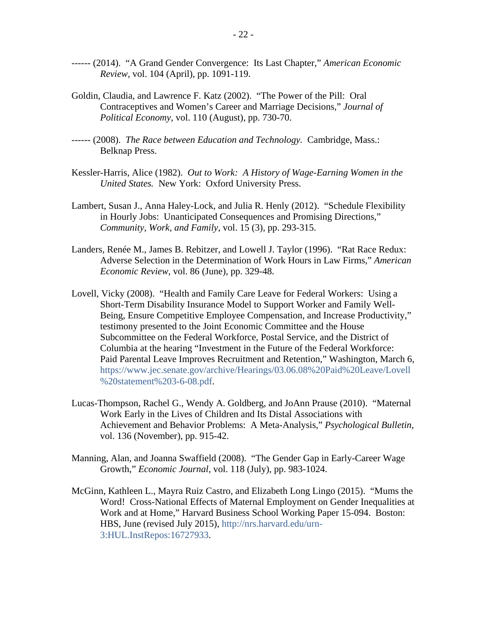- ------ (2014). "A Grand Gender Convergence: Its Last Chapter," *American Economic Review,* vol. 104 (April), pp. 1091-119.
- Goldin, Claudia, and Lawrence F. Katz (2002). "The Power of the Pill: Oral Contraceptives and Women's Career and Marriage Decisions," *Journal of Political Economy,* vol. 110 (August), pp. 730-70.
- ------ (2008). *The Race between Education and Technology.* Cambridge, Mass.: Belknap Press.
- Kessler-Harris, Alice (1982). *Out to Work: A History of Wage-Earning Women in the United States.* New York: Oxford University Press.
- Lambert, Susan J., Anna Haley-Lock, and Julia R. Henly (2012). "Schedule Flexibility in Hourly Jobs: Unanticipated Consequences and Promising Directions," *Community, Work, and Family,* vol. 15 (3), pp. 293-315.
- Landers, Renée M., James B. Rebitzer, and Lowell J. Taylor (1996). "Rat Race Redux: Adverse Selection in the Determination of Work Hours in Law Firms," *American Economic Review,* vol. 86 (June), pp. 329-48.
- Lovell, Vicky (2008). "Health and Family Care Leave for Federal Workers: Using a Short-Term Disability Insurance Model to Support Worker and Family Well-Being, Ensure Competitive Employee Compensation, and Increase Productivity," testimony presented to the Joint Economic Committee and the House Subcommittee on the Federal Workforce, Postal Service, and the District of Columbia at the hearing "Investment in the Future of the Federal Workforce: Paid Parental Leave Improves Recruitment and Retention," Washington, March 6, [https://www.jec.senate.gov/archive/Hearings/03.06.08%20Paid%20Leave/Lovell](https://www.jec.senate.gov/archive/Hearings/03.06.08%20Paid%20Leave/Lovell%20statement%203-6-08.pdf) [%20statement%203-6-08.pdf.](https://www.jec.senate.gov/archive/Hearings/03.06.08%20Paid%20Leave/Lovell%20statement%203-6-08.pdf)
- Lucas-Thompson, Rachel G., Wendy A. Goldberg, and JoAnn Prause (2010). "Maternal Work Early in the Lives of Children and Its Distal Associations with Achievement and Behavior Problems: A Meta-Analysis," *Psychological Bulletin,* vol. 136 (November), pp. 915-42.
- Manning, Alan, and Joanna Swaffield (2008). "The Gender Gap in Early-Career Wage Growth," *Economic Journal,* vol. 118 (July), pp. 983-1024.
- McGinn, Kathleen L., Mayra Ruiz Castro, and Elizabeth Long Lingo (2015). "Mums the Word! Cross-National Effects of Maternal Employment on Gender Inequalities at Work and at Home," Harvard Business School Working Paper 15-094. Boston: HBS, June (revised July 2015), [http://nrs.harvard.edu/urn-](http://nrs.harvard.edu/urn-3:HUL.InstRepos:16727933)[3:HUL.InstRepos:16727933.](http://nrs.harvard.edu/urn-3:HUL.InstRepos:16727933)